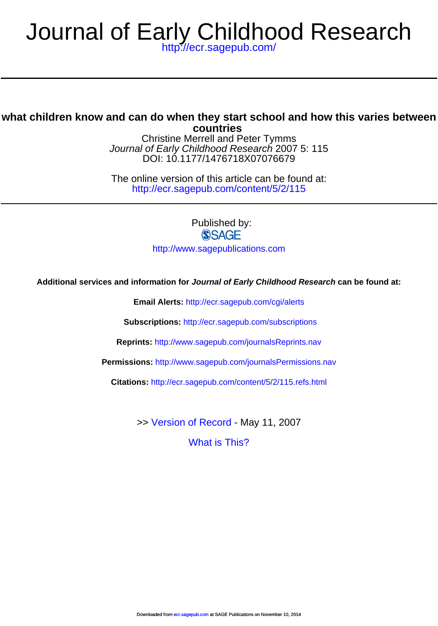# Journal of Early Childhood Research

<http://ecr.sagepub.com/>

#### **countries what children know and can do when they start school and how this varies between**

DOI: 10.1177/1476718X07076679 Journal of Early Childhood Research 2007 5: 115 Christine Merrell and Peter Tymms

<http://ecr.sagepub.com/content/5/2/115> The online version of this article can be found at:

> Published by: **SSAGE** <http://www.sagepublications.com>

**Additional services and information for Journal of Early Childhood Research can be found at:**

**Email Alerts:** <http://ecr.sagepub.com/cgi/alerts>

**Subscriptions:** <http://ecr.sagepub.com/subscriptions>

**Reprints:** <http://www.sagepub.com/journalsReprints.nav>

**Permissions:** <http://www.sagepub.com/journalsPermissions.nav>

**Citations:** <http://ecr.sagepub.com/content/5/2/115.refs.html>

>> [Version of Record -](http://ecr.sagepub.com/content/5/2/115.full.pdf) May 11, 2007

[What is This?](http://online.sagepub.com/site/sphelp/vorhelp.xhtml)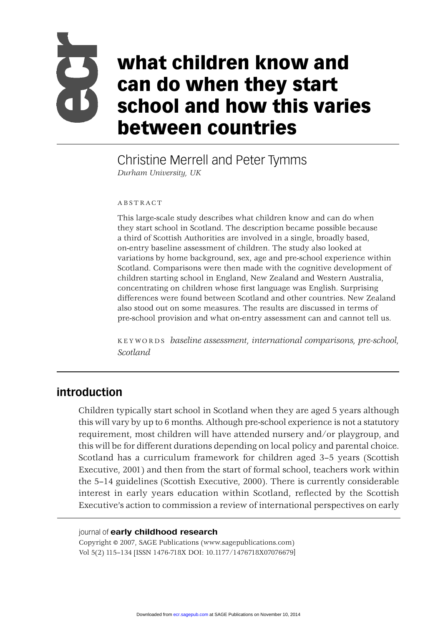## **what children know and can do when they start school and how this varies between countries**

### Christine Merrell and Peter Tymms *Durham University, UK*

#### ABSTRACT

This large-scale study describes what children know and can do when they start school in Scotland. The description became possible because a third of Scottish Authorities are involved in a single, broadly based, on-entry baseline assessment of children. The study also looked at variations by home background, sex, age and pre-school experience within Scotland. Comparisons were then made with the cognitive development of children starting school in England, New Zealand and Western Australia, concentrating on children whose first language was English. Surprising differences were found between Scotland and other countries. New Zealand also stood out on some measures. The results are discussed in terms of pre-school provision and what on-entry assessment can and cannot tell us.

KEYWORDS *baseline assessment, international comparisons, pre-school, Scotland*

#### **introduction**

Children typically start school in Scotland when they are aged 5 years although this will vary by up to 6 months. Although pre-school experience is not a statutory requirement, most children will have attended nursery and/or playgroup, and this will be for different durations depending on local policy and parental choice. Scotland has a curriculum framework for children aged 3–5 years (Scottish Executive, 2001) and then from the start of formal school, teachers work within the 5–14 guidelines (Scottish Executive, 2000). There is currently considerable interest in early years education within Scotland, reflected by the Scottish Executive's action to commission a review of international perspectives on early

#### journal of **early childhood research**

Copyright © 2007, SAGE Publications (www.sagepublications.com) Vol 5(2) 115–134 [ISSN 1476-718X DOI: 10.1177/1476718X07076679]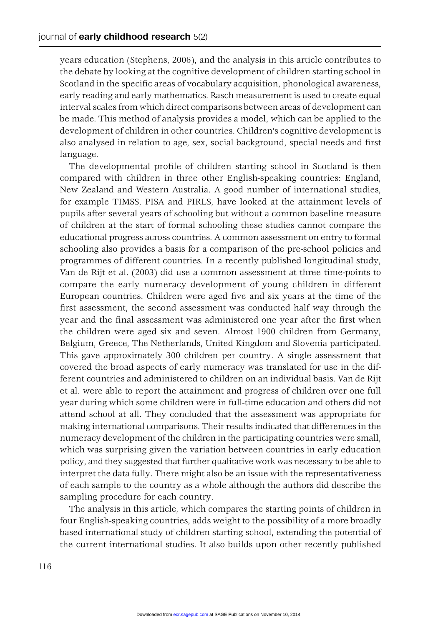years education (Stephens, 2006), and the analysis in this article contributes to the debate by looking at the cognitive development of children starting school in Scotland in the specific areas of vocabulary acquisition, phonological awareness, early reading and early mathematics. Rasch measurement is used to create equal interval scales from which direct comparisons between areas of development can be made. This method of analysis provides a model, which can be applied to the development of children in other countries. Children's cognitive development is also analysed in relation to age, sex, social background, special needs and first language.

The developmental profile of children starting school in Scotland is then compared with children in three other English-speaking countries: England, New Zealand and Western Australia. A good number of international studies, for example TIMSS, PISA and PIRLS, have looked at the attainment levels of pupils after several years of schooling but without a common baseline measure of children at the start of formal schooling these studies cannot compare the educational progress across countries. A common assessment on entry to formal schooling also provides a basis for a comparison of the pre-school policies and programmes of different countries. In a recently published longitudinal study, Van de Rijt et al. (2003) did use a common assessment at three time-points to compare the early numeracy development of young children in different European countries. Children were aged five and six years at the time of the first assessment, the second assessment was conducted half way through the year and the final assessment was administered one year after the first when the children were aged six and seven. Almost 1900 children from Germany, Belgium, Greece, The Netherlands, United Kingdom and Slovenia participated. This gave approximately 300 children per country. A single assessment that covered the broad aspects of early numeracy was translated for use in the different countries and administered to children on an individual basis. Van de Rijt et al. were able to report the attainment and progress of children over one full year during which some children were in full-time education and others did not attend school at all. They concluded that the assessment was appropriate for making international comparisons. Their results indicated that differences in the numeracy development of the children in the participating countries were small, which was surprising given the variation between countries in early education policy, and they suggested that further qualitative work was necessary to be able to interpret the data fully. There might also be an issue with the representativeness of each sample to the country as a whole although the authors did describe the sampling procedure for each country.

The analysis in this article, which compares the starting points of children in four English-speaking countries, adds weight to the possibility of a more broadly based international study of children starting school, extending the potential of the current international studies. It also builds upon other recently published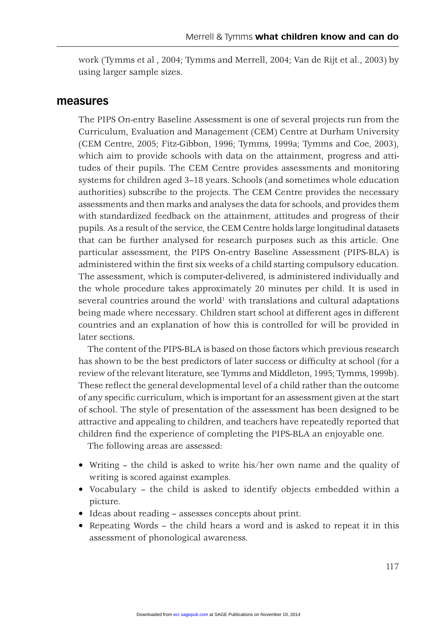work (Tymms et al , 2004; Tymms and Merrell, 2004; Van de Rijt et al., 2003) by using larger sample sizes.

#### **measures**

The PIPS On-entry Baseline Assessment is one of several projects run from the Curriculum, Evaluation and Management (CEM) Centre at Durham University (CEM Centre, 2005; Fitz-Gibbon, 1996; Tymms, 1999a; Tymms and Coe, 2003), which aim to provide schools with data on the attainment, progress and attitudes of their pupils. The CEM Centre provides assessments and monitoring systems for children aged 3–18 years. Schools (and sometimes whole education authorities) subscribe to the projects. The CEM Centre provides the necessary assessments and then marks and analyses the data for schools, and provides them with standardized feedback on the attainment, attitudes and progress of their pupils. As a result of the service, the CEM Centre holds large longitudinal datasets that can be further analysed for research purposes such as this article. One particular assessment, the PIPS On-entry Baseline Assessment (PIPS-BLA) is administered within the first six weeks of a child starting compulsory education. The assessment, which is computer-delivered, is administered individually and the whole procedure takes approximately 20 minutes per child. It is used in several countries around the world<sup>1</sup> with translations and cultural adaptations being made where necessary. Children start school at different ages in different countries and an explanation of how this is controlled for will be provided in later sections.

The content of the PIPS-BLA is based on those factors which previous research has shown to be the best predictors of later success or difficulty at school (for a review of the relevant literature, see Tymms and Middleton, 1995; Tymms, 1999b). These reflect the general developmental level of a child rather than the outcome of any specific curriculum, which is important for an assessment given at the start of school. The style of presentation of the assessment has been designed to be attractive and appealing to children, and teachers have repeatedly reported that children find the experience of completing the PIPS-BLA an enjoyable one.

The following areas are assessed:

- Writing the child is asked to write his/her own name and the quality of writing is scored against examples.
- Vocabulary the child is asked to identify objects embedded within a picture.
- Ideas about reading assesses concepts about print.
- Repeating Words the child hears a word and is asked to repeat it in this assessment of phonological awareness.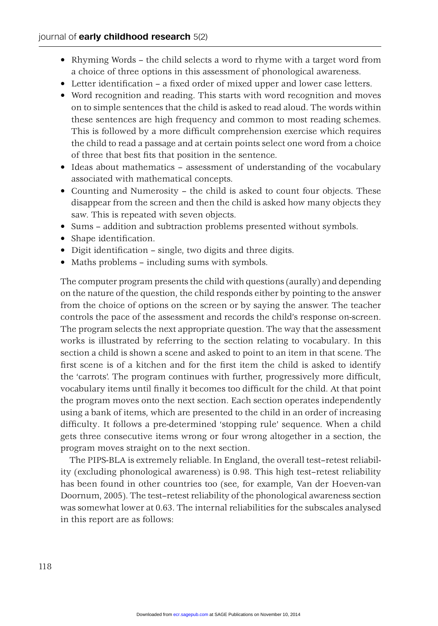- Rhyming Words the child selects a word to rhyme with a target word from a choice of three options in this assessment of phonological awareness.
- Letter identification a fixed order of mixed upper and lower case letters.
- Word recognition and reading. This starts with word recognition and moves on to simple sentences that the child is asked to read aloud. The words within these sentences are high frequency and common to most reading schemes. This is followed by a more difficult comprehension exercise which requires the child to read a passage and at certain points select one word from a choice of three that best fits that position in the sentence.
- Ideas about mathematics assessment of understanding of the vocabulary associated with mathematical concepts.
- Counting and Numerosity the child is asked to count four objects. These disappear from the screen and then the child is asked how many objects they saw. This is repeated with seven objects.
- Sums addition and subtraction problems presented without symbols.
- Shape identification.
- $\bullet$  Digit identification single, two digits and three digits.
- Maths problems including sums with symbols.

The computer program presents the child with questions (aurally) and depending on the nature of the question, the child responds either by pointing to the answer from the choice of options on the screen or by saying the answer. The teacher controls the pace of the assessment and records the child's response on-screen. The program selects the next appropriate question. The way that the assessment works is illustrated by referring to the section relating to vocabulary. In this section a child is shown a scene and asked to point to an item in that scene. The first scene is of a kitchen and for the first item the child is asked to identify the 'carrots'. The program continues with further, progressively more difficult, vocabulary items until finally it becomes too difficult for the child. At that point the program moves onto the next section. Each section operates independently using a bank of items, which are presented to the child in an order of increasing difficulty. It follows a pre-determined 'stopping rule' sequence. When a child gets three consecutive items wrong or four wrong altogether in a section, the program moves straight on to the next section.

The PIPS-BLA is extremely reliable. In England, the overall test–retest reliability (excluding phonological awareness) is 0.98. This high test–retest reliability has been found in other countries too (see, for example, Van der Hoeven-van Doornum, 2005). The test–retest reliability of the phonological awareness section was somewhat lower at 0.63. The internal reliabilities for the subscales analysed in this report are as follows: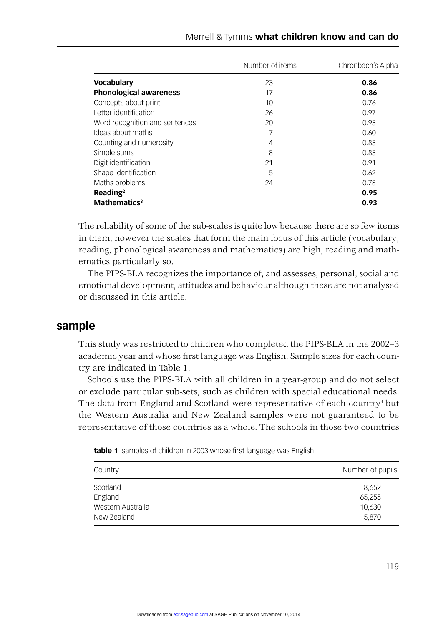|  |  |  | Merrell & Tymms what children know and can do |  |  |  |  |
|--|--|--|-----------------------------------------------|--|--|--|--|
|--|--|--|-----------------------------------------------|--|--|--|--|

|                                | Number of items | Chronbach's Alpha |
|--------------------------------|-----------------|-------------------|
| <b>Vocabulary</b>              | 23              | 0.86              |
| <b>Phonological awareness</b>  | 17              | 0.86              |
| Concepts about print           | 10              | 0.76              |
| Letter identification          | 26              | 0.97              |
| Word recognition and sentences | 20              | 0.93              |
| Ideas about maths              | 7               | 0.60              |
| Counting and numerosity        | 4               | 0.83              |
| Simple sums                    | 8               | 0.83              |
| Digit identification           | 21              | 0.91              |
| Shape identification           | 5               | 0.62              |
| Maths problems                 | 24              | 0.78              |
| $\text{Reading}^2$             |                 | 0.95              |
| Mathematics <sup>3</sup>       |                 | 0.93              |

The reliability of some of the sub-scales is quite low because there are so few items in them, however the scales that form the main focus of this article (vocabulary, reading, phonological awareness and mathematics) are high, reading and mathematics particularly so.

The PIPS-BLA recognizes the importance of, and assesses, personal, social and emotional development, attitudes and behaviour although these are not analysed or discussed in this article.

#### **sample**

This study was restricted to children who completed the PIPS-BLA in the 2002–3 academic year and whose first language was English. Sample sizes for each country are indicated in Table 1.

Schools use the PIPS-BLA with all children in a year-group and do not select or exclude particular sub-sets, such as children with special educational needs. The data from England and Scotland were representative of each country<sup>4</sup> but the Western Australia and New Zealand samples were not guaranteed to be representative of those countries as a whole. The schools in those two countries

|  | table 1 samples of children in 2003 whose first language was English |  |  |  |  |  |  |  |
|--|----------------------------------------------------------------------|--|--|--|--|--|--|--|
|--|----------------------------------------------------------------------|--|--|--|--|--|--|--|

| Country           | Number of pupils |
|-------------------|------------------|
| Scotland          | 8,652            |
| England           | 65,258           |
| Western Australia | 10,630           |
| New Zealand       | 5,870            |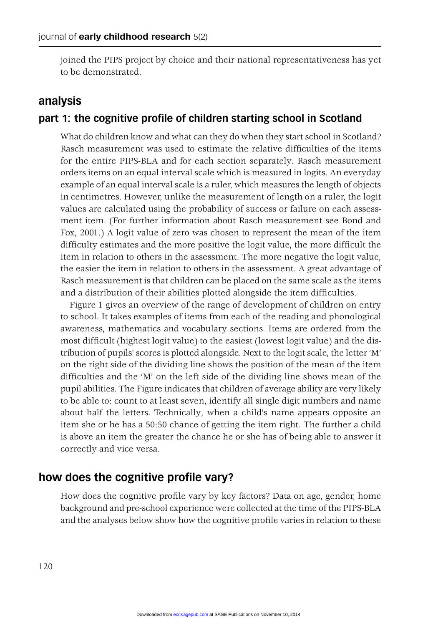joined the PIPS project by choice and their national representativeness has yet to be demonstrated.

#### **analysis**

#### **part 1: the cognitive profile of children starting school in Scotland**

What do children know and what can they do when they start school in Scotland? Rasch measurement was used to estimate the relative difficulties of the items for the entire PIPS-BLA and for each section separately. Rasch measurement orders items on an equal interval scale which is measured in logits. An everyday example of an equal interval scale is a ruler, which measures the length of objects in centimetres. However, unlike the measurement of length on a ruler, the logit values are calculated using the probability of success or failure on each assessment item. (For further information about Rasch measurement see Bond and Fox, 2001.) A logit value of zero was chosen to represent the mean of the item difficulty estimates and the more positive the logit value, the more difficult the item in relation to others in the assessment. The more negative the logit value, the easier the item in relation to others in the assessment. A great advantage of Rasch measurement is that children can be placed on the same scale as the items and a distribution of their abilities plotted alongside the item difficulties.

Figure 1 gives an overview of the range of development of children on entry to school. It takes examples of items from each of the reading and phonological awareness, mathematics and vocabulary sections. Items are ordered from the most difficult (highest logit value) to the easiest (lowest logit value) and the distribution of pupils' scores is plotted alongside. Next to the logit scale, the letter 'M' on the right side of the dividing line shows the position of the mean of the item difficulties and the 'M' on the left side of the dividing line shows mean of the pupil abilities. The Figure indicates that children of average ability are very likely to be able to: count to at least seven, identify all single digit numbers and name about half the letters. Technically, when a child's name appears opposite an item she or he has a 50:50 chance of getting the item right. The further a child is above an item the greater the chance he or she has of being able to answer it correctly and vice versa.

### how does the cognitive profile vary?

How does the cognitive profile vary by key factors? Data on age, gender, home background and pre-school experience were collected at the time of the PIPS-BLA and the analyses below show how the cognitive profile varies in relation to these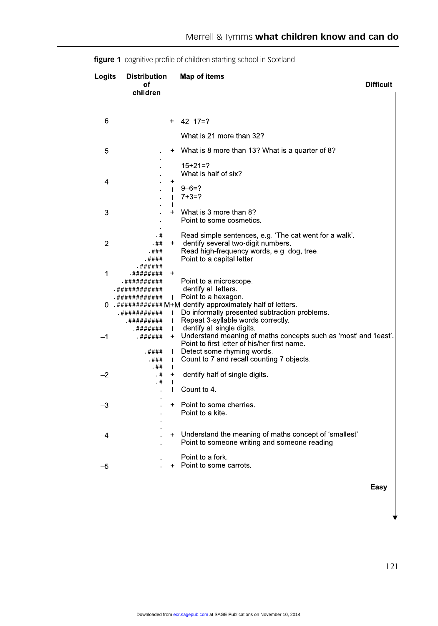| Logits | <b>Distribution</b><br>οf             |                                                | <b>Map of items</b><br><b>Difficult</b>                                                                                                                                   |
|--------|---------------------------------------|------------------------------------------------|---------------------------------------------------------------------------------------------------------------------------------------------------------------------------|
|        | children                              |                                                |                                                                                                                                                                           |
|        |                                       |                                                |                                                                                                                                                                           |
| 6      |                                       | +                                              | $42 - 17 = ?$                                                                                                                                                             |
|        |                                       | $\mathsf{l}$                                   | What is 21 more than 32?                                                                                                                                                  |
| 5      |                                       | +                                              | What is 8 more than 13? What is a quarter of 8?                                                                                                                           |
| 4      |                                       | $\mathsf{I}$<br>I<br>T<br>+                    | $15+21=?$<br>What is half of six?                                                                                                                                         |
|        |                                       | $\overline{1}$<br>$\mathbf{I}$<br>$\mathbf{I}$ | $9 - 6 = ?$<br>$7 + 3 = ?$                                                                                                                                                |
| 3      |                                       | $\ddot{}$<br>T<br>$\mathsf{I}$                 | What is 3 more than 8?<br>Point to some cosmetics.                                                                                                                        |
| 2      | - #<br>- ##<br>- ###<br>####          | L<br>$\ddot{}$<br>L<br>T                       | Read simple sentences, e.g. 'The cat went for a walk'.<br>Identify several two-digit numbers.<br>Read high-frequency words, e.g. dog, tree.<br>Point to a capital letter. |
| 1      | . ######<br>. ########<br>. ######### | $\mathbf{I}$<br>+<br>L                         | Point to a microscope.                                                                                                                                                    |
|        | . ############<br>. ############      | T<br>$\mathbf{L}$                              | Identify all letters.<br>Point to a hexagon.<br>0 #############M+MIdentify approximately half of letters.                                                                 |
|        | . ##########<br>. #########           | $\mathbf{I}$<br>$\mathbf{I}$                   | Do informally presented subtraction problems.<br>Repeat 3-syllable words correctly.                                                                                       |
| -1     | #######<br>. ######                   | $\mathbf{I}$<br>$+$                            | Identify all single digits.<br>Understand meaning of maths concepts such as 'most' and 'least'.<br>Point to first letter of his/her first name.                           |
|        | ####<br>.###<br>- ##                  | $\mathbf{I}$<br>$\mathbf{I}$<br>$\mathbf{I}$   | Detect some rhyming words.<br>Count to 7 and recall counting 7 objects.                                                                                                   |
| -2     | - #<br>- #                            | +<br>$\mathbf{I}$                              | Identify half of single digits.                                                                                                                                           |
|        |                                       | $\overline{\phantom{a}}$<br>T                  | Count to 4                                                                                                                                                                |
| -3     |                                       | +<br>T<br>$\mathsf{I}$                         | Point to some cherries.<br>Point to a kite.                                                                                                                               |
| -4     |                                       | $\mathbf{I}$<br>$\ddot{}$<br>T<br>I            | Understand the meaning of maths concept of 'smallest'.<br>Point to someone writing and someone reading.                                                                   |
| -5     |                                       | $\mathsf{I}$<br>$\ddot{}$                      | Point to a fork.<br>Point to some carrots.                                                                                                                                |

figure 1 cognitive profile of children starting school in Scotland

Easy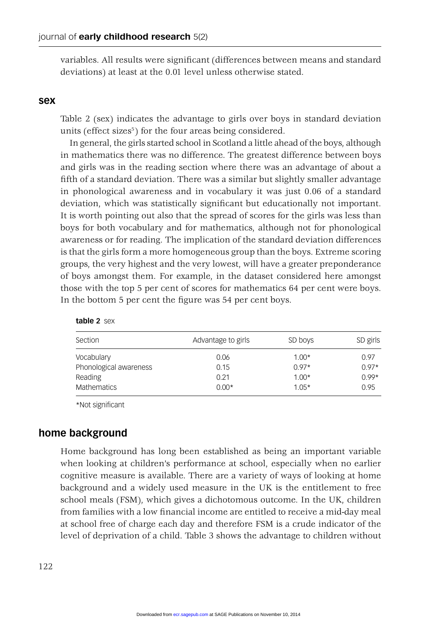variables. All results were significant (differences between means and standard deviations) at least at the 0.01 level unless otherwise stated.

#### **sex**

Table 2 (sex) indicates the advantage to girls over boys in standard deviation units (effect sizes<sup> $5$ </sup>) for the four areas being considered.

In general, the girls started school in Scotland a little ahead of the boys, although in mathematics there was no difference. The greatest difference between boys and girls was in the reading section where there was an advantage of about a fifth of a standard deviation. There was a similar but slightly smaller advantage in phonological awareness and in vocabulary it was just 0.06 of a standard deviation, which was statistically significant but educationally not important. It is worth pointing out also that the spread of scores for the girls was less than boys for both vocabulary and for mathematics, although not for phonological awareness or for reading. The implication of the standard deviation differences is that the girls form a more homogeneous group than the boys. Extreme scoring groups, the very highest and the very lowest, will have a greater preponderance of boys amongst them. For example, in the dataset considered here amongst those with the top 5 per cent of scores for mathematics 64 per cent were boys. In the bottom 5 per cent the figure was 54 per cent boys.

| Section                | Advantage to girls | SD boys | SD girls |
|------------------------|--------------------|---------|----------|
| Vocabulary             | 0.06               | $1.00*$ | 0.97     |
| Phonological awareness | 0.15               | $0.97*$ | $0.97*$  |
| Reading                | 0.21               | $1.00*$ | $0.99*$  |
| <b>Mathematics</b>     | $0.00*$            | $1.05*$ | 0.95     |

|  | table 2 sex |
|--|-------------|
|  |             |

\*Not significant

#### **home background**

Home background has long been established as being an important variable when looking at children's performance at school, especially when no earlier cognitive measure is available. There are a variety of ways of looking at home background and a widely used measure in the UK is the entitlement to free school meals (FSM), which gives a dichotomous outcome. In the UK, children from families with a low financial income are entitled to receive a mid-day meal at school free of charge each day and therefore FSM is a crude indicator of the level of deprivation of a child. Table 3 shows the advantage to children without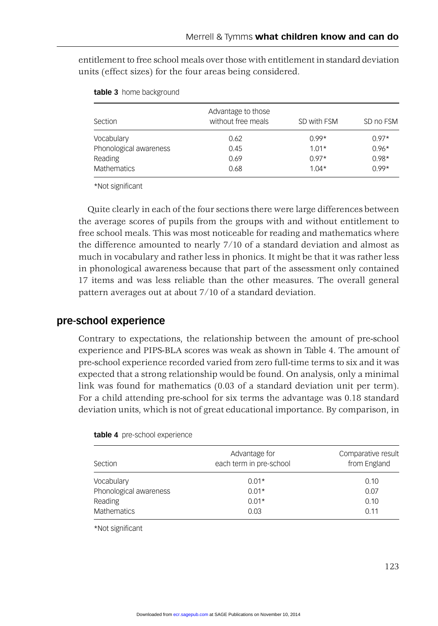entitlement to free school meals over those with entitlement in standard deviation units (effect sizes) for the four areas being considered.

| Section                | Advantage to those<br>without free meals | SD with FSM | SD no FSM |
|------------------------|------------------------------------------|-------------|-----------|
| Vocabulary             | 0.62                                     | $0.99*$     | $0.97*$   |
| Phonological awareness | 0.45                                     | $1.01*$     | $0.96*$   |
| Reading                | 0.69                                     | $0.97*$     | $0.98*$   |
| <b>Mathematics</b>     | 0.68                                     | $1.04*$     | $0.99*$   |

|  |  | table 3 home background |
|--|--|-------------------------|
|--|--|-------------------------|

\*Not significant

Quite clearly in each of the four sections there were large differences between the average scores of pupils from the groups with and without entitlement to free school meals. This was most noticeable for reading and mathematics where the difference amounted to nearly 7/10 of a standard deviation and almost as much in vocabulary and rather less in phonics. It might be that it was rather less in phonological awareness because that part of the assessment only contained 17 items and was less reliable than the other measures. The overall general pattern averages out at about 7/10 of a standard deviation.

#### **pre-school experience**

Contrary to expectations, the relationship between the amount of pre-school experience and PIPS-BLA scores was weak as shown in Table 4. The amount of pre-school experience recorded varied from zero full-time terms to six and it was expected that a strong relationship would be found. On analysis, only a minimal link was found for mathematics (0.03 of a standard deviation unit per term). For a child attending pre-school for six terms the advantage was 0.18 standard deviation units, which is not of great educational importance. By comparison, in

| Section                | Advantage for<br>each term in pre-school | Comparative result<br>from England |  |
|------------------------|------------------------------------------|------------------------------------|--|
| Vocabulary             | $0.01*$                                  | 0.10                               |  |
| Phonological awareness | $0.01*$                                  | 0.07                               |  |
| Reading                | $0.01*$                                  | 0.10                               |  |
| <b>Mathematics</b>     | 0.03                                     | 0.11                               |  |

|  | table 4 pre-school experience |
|--|-------------------------------|
|  |                               |

\*Not significant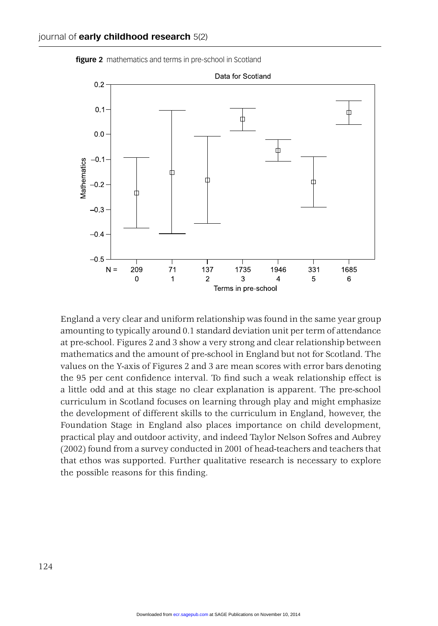



England a very clear and uniform relationship was found in the same year group amounting to typically around 0.1 standard deviation unit per term of attendance at pre-school. Figures 2 and 3 show a very strong and clear relationship between mathematics and the amount of pre-school in England but not for Scotland. The values on the Y-axis of Figures 2 and 3 are mean scores with error bars denoting the 95 per cent confidence interval. To find such a weak relationship effect is a little odd and at this stage no clear explanation is apparent. The pre-school curriculum in Scotland focuses on learning through play and might emphasize the development of different skills to the curriculum in England, however, the Foundation Stage in England also places importance on child development, practical play and outdoor activity, and indeed Taylor Nelson Sofres and Aubrey (2002) found from a survey conducted in 2001 of head-teachers and teachers that that ethos was supported. Further qualitative research is necessary to explore the possible reasons for this finding.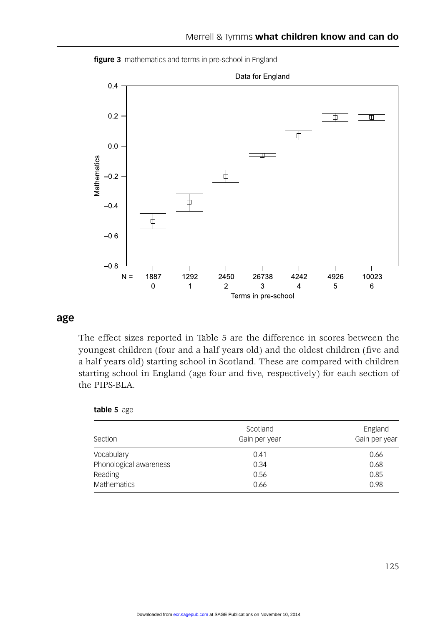figure 3 mathematics and terms in pre-school in England



#### **age**

The effect sizes reported in Table 5 are the difference in scores between the youngest children (four and a half years old) and the oldest children (five and a half years old) starting school in Scotland. These are compared with children starting school in England (age four and five, respectively) for each section of the PIPS-BLA.

| Section                | Scotland<br>Gain per year | England<br>Gain per year |
|------------------------|---------------------------|--------------------------|
| Vocabulary             | 0.41                      | 0.66                     |
| Phonological awareness | 0.34                      | 0.68                     |
| Reading                | 0.56                      | 0.85                     |
| <b>Mathematics</b>     | 0.66                      | 0.98                     |

| table 5 age |
|-------------|
|-------------|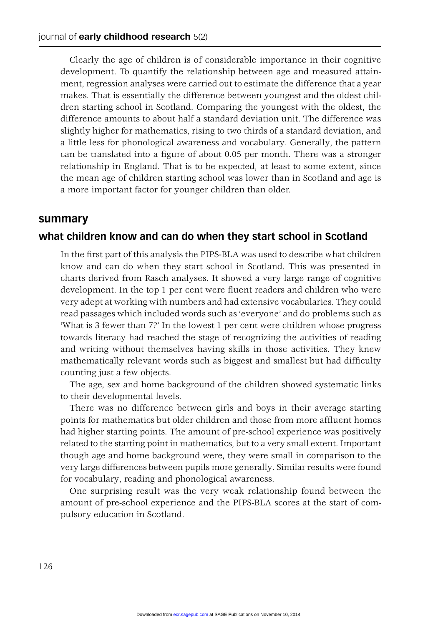Clearly the age of children is of considerable importance in their cognitive development. To quantify the relationship between age and measured attainment, regression analyses were carried out to estimate the difference that a year makes. That is essentially the difference between youngest and the oldest children starting school in Scotland. Comparing the youngest with the oldest, the difference amounts to about half a standard deviation unit. The difference was slightly higher for mathematics, rising to two thirds of a standard deviation, and a little less for phonological awareness and vocabulary. Generally, the pattern can be translated into a figure of about 0.05 per month. There was a stronger relationship in England. That is to be expected, at least to some extent, since the mean age of children starting school was lower than in Scotland and age is a more important factor for younger children than older.

#### **summary**

#### **what children know and can do when they start school in Scotland**

In the first part of this analysis the PIPS-BLA was used to describe what children know and can do when they start school in Scotland. This was presented in charts derived from Rasch analyses. It showed a very large range of cognitive development. In the top 1 per cent were fluent readers and children who were very adept at working with numbers and had extensive vocabularies. They could read passages which included words such as 'everyone' and do problems such as 'What is 3 fewer than 7?' In the lowest 1 per cent were children whose progress towards literacy had reached the stage of recognizing the activities of reading and writing without themselves having skills in those activities. They knew mathematically relevant words such as biggest and smallest but had difficulty counting just a few objects.

The age, sex and home background of the children showed systematic links to their developmental levels.

There was no difference between girls and boys in their average starting points for mathematics but older children and those from more affluent homes had higher starting points. The amount of pre-school experience was positively related to the starting point in mathematics, but to a very small extent. Important though age and home background were, they were small in comparison to the very large differences between pupils more generally. Similar results were found for vocabulary, reading and phonological awareness.

One surprising result was the very weak relationship found between the amount of pre-school experience and the PIPS-BLA scores at the start of compulsory education in Scotland.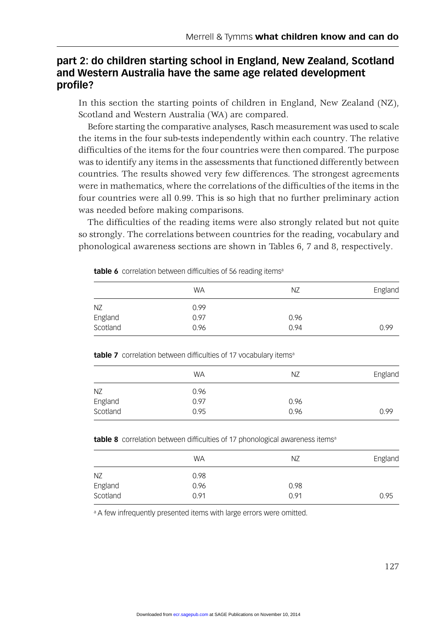#### **part 2: do children starting school in England, New Zealand, Scotland and Western Australia have the same age related development profi le?**

In this section the starting points of children in England, New Zealand (NZ), Scotland and Western Australia (WA) are compared.

Before starting the comparative analyses, Rasch measurement was used to scale the items in the four sub-tests independently within each country. The relative difficulties of the items for the four countries were then compared. The purpose was to identify any items in the assessments that functioned differently between countries. The results showed very few differences. The strongest agreements were in mathematics, where the correlations of the difficulties of the items in the four countries were all 0.99. This is so high that no further preliminary action was needed before making comparisons.

The difficulties of the reading items were also strongly related but not quite so strongly. The correlations between countries for the reading, vocabulary and phonological awareness sections are shown in Tables 6, 7 and 8, respectively.

|                     | <b>WA</b> | <b>NZ</b> | England |
|---------------------|-----------|-----------|---------|
| <b>NZ</b>           | 0.99      |           |         |
|                     | 0.97      | 0.96      |         |
| England<br>Scotland | 0.96      | 0.94      | 0.99    |

**table 6** correlation between difficulties of 56 reading items<sup>a</sup>

**table 7** correlation between difficulties of 17 vocabulary items<sup>a</sup>

|                     | <b>WA</b> | <b>NZ</b> | England |
|---------------------|-----------|-----------|---------|
| <b>NZ</b>           | 0.96      |           |         |
|                     | 0.97      | 0.96      |         |
| England<br>Scotland | 0.95      | 0.96      | 0.99    |

**table 8** correlation between difficulties of 17 phonological awareness items<sup>a</sup>

|                     | <b>WA</b> | <b>NZ</b> | England |
|---------------------|-----------|-----------|---------|
| NZ                  | 0.98      |           |         |
|                     | 0.96      | 0.98      |         |
| England<br>Scotland | 0.91      | 0.91      | 0.95    |

<sup>a</sup> A few infrequently presented items with large errors were omitted.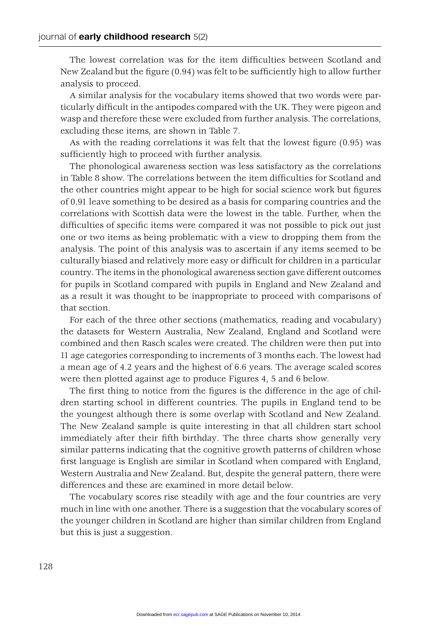The lowest correlation was for the item difficulties between Scotland and New Zealand but the figure  $(0.94)$  was felt to be sufficiently high to allow further analysis to proceed.

A similar analysis for the vocabulary items showed that two words were particularly difficult in the antipodes compared with the UK. They were pigeon and wasp and therefore these were excluded from further analysis. The correlations, excluding these items, are shown in Table 7.

As with the reading correlations it was felt that the lowest figure  $(0.95)$  was sufficiently high to proceed with further analysis.

The phonological awareness section was less satisfactory as the correlations in Table 8 show. The correlations between the item difficulties for Scotland and the other countries might appear to be high for social science work but figures of 0.91 leave something to be desired as a basis for comparing countries and the correlations with Scottish data were the lowest in the table. Further, when the difficulties of specific items were compared it was not possible to pick out just one or two items as being problematic with a view to dropping them from the analysis. The point of this analysis was to ascertain if any items seemed to be culturally biased and relatively more easy or difficult for children in a particular country. The items in the phonological awareness section gave different outcomes for pupils in Scotland compared with pupils in England and New Zealand and as a result it was thought to be inappropriate to proceed with comparisons of that section.

For each of the three other sections (mathematics, reading and vocabulary) the datasets for Western Australia, New Zealand, England and Scotland were combined and then Rasch scales were created. The children were then put into 11 age categories corresponding to increments of 3 months each. The lowest had a mean age of 4.2 years and the highest of 6.6 years. The average scaled scores were then plotted against age to produce Figures 4, 5 and 6 below.

The first thing to notice from the figures is the difference in the age of children starting school in different countries. The pupils in England tend to be the youngest although there is some overlap with Scotland and New Zealand. The New Zealand sample is quite interesting in that all children start school immediately after their fifth birthday. The three charts show generally very similar patterns indicating that the cognitive growth patterns of children whose first language is English are similar in Scotland when compared with England, Western Australia and New Zealand. But, despite the general pattern, there were differences and these are examined in more detail below.

The vocabulary scores rise steadily with age and the four countries are very much in line with one another. There is a suggestion that the vocabulary scores of the younger children in Scotland are higher than similar children from England but this is just a suggestion.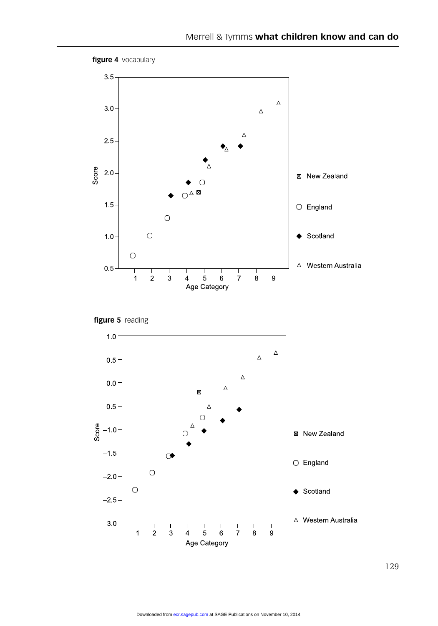



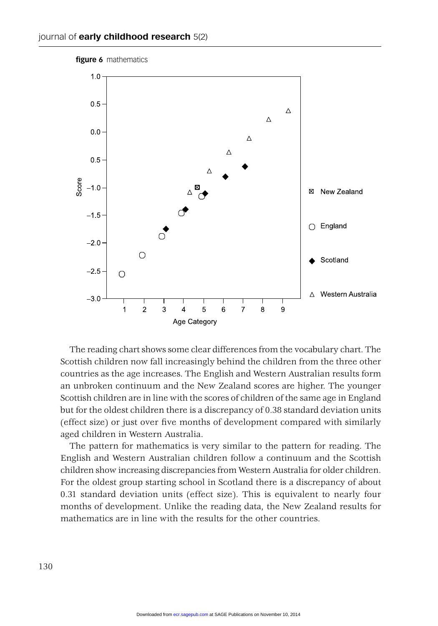

The reading chart shows some clear differences from the vocabulary chart. The Scottish children now fall increasingly behind the children from the three other countries as the age increases. The English and Western Australian results form an unbroken continuum and the New Zealand scores are higher. The younger Scottish children are in line with the scores of children of the same age in England but for the oldest children there is a discrepancy of 0.38 standard deviation units (effect size) or just over five months of development compared with similarly aged children in Western Australia.

The pattern for mathematics is very similar to the pattern for reading. The English and Western Australian children follow a continuum and the Scottish children show increasing discrepancies from Western Australia for older children. For the oldest group starting school in Scotland there is a discrepancy of about 0.31 standard deviation units (effect size). This is equivalent to nearly four months of development. Unlike the reading data, the New Zealand results for mathematics are in line with the results for the other countries.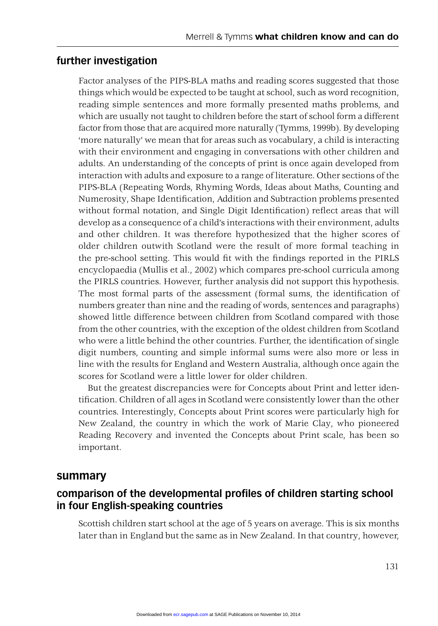#### **further investigation**

Factor analyses of the PIPS-BLA maths and reading scores suggested that those things which would be expected to be taught at school, such as word recognition, reading simple sentences and more formally presented maths problems, and which are usually not taught to children before the start of school form a different factor from those that are acquired more naturally (Tymms, 1999b). By developing 'more naturally' we mean that for areas such as vocabulary, a child is interacting with their environment and engaging in conversations with other children and adults. An understanding of the concepts of print is once again developed from interaction with adults and exposure to a range of literature. Other sections of the PIPS-BLA (Repeating Words, Rhyming Words, Ideas about Maths, Counting and Numerosity, Shape Identification, Addition and Subtraction problems presented without formal notation, and Single Digit Identification) reflect areas that will develop as a consequence of a child's interactions with their environment, adults and other children. It was therefore hypothesized that the higher scores of older children outwith Scotland were the result of more formal teaching in the pre-school setting. This would fit with the findings reported in the PIRLS encyclopaedia (Mullis et al., 2002) which compares pre-school curricula among the PIRLS countries. However, further analysis did not support this hypothesis. The most formal parts of the assessment (formal sums, the identification of numbers greater than nine and the reading of words, sentences and paragraphs) showed little difference between children from Scotland compared with those from the other countries, with the exception of the oldest children from Scotland who were a little behind the other countries. Further, the identification of single digit numbers, counting and simple informal sums were also more or less in line with the results for England and Western Australia, although once again the scores for Scotland were a little lower for older children.

But the greatest discrepancies were for Concepts about Print and letter identification. Children of all ages in Scotland were consistently lower than the other countries. Interestingly, Concepts about Print scores were particularly high for New Zealand, the country in which the work of Marie Clay, who pioneered Reading Recovery and invented the Concepts about Print scale, has been so important.

#### **summary**

### **comparison of the developmental profiles of children starting school in four English-speaking countries**

Scottish children start school at the age of 5 years on average. This is six months later than in England but the same as in New Zealand. In that country, however,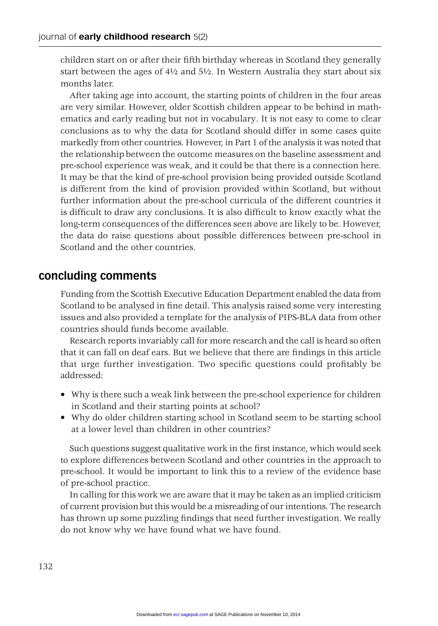children start on or after their fifth birthday whereas in Scotland they generally start between the ages of  $4\frac{1}{2}$  and  $5\frac{1}{2}$ . In Western Australia they start about six months later.

After taking age into account, the starting points of children in the four areas are very similar. However, older Scottish children appear to be behind in mathematics and early reading but not in vocabulary. It is not easy to come to clear conclusions as to why the data for Scotland should differ in some cases quite markedly from other countries. However, in Part 1 of the analysis it was noted that the relationship between the outcome measures on the baseline assessment and pre-school experience was weak, and it could be that there is a connection here. It may be that the kind of pre-school provision being provided outside Scotland is different from the kind of provision provided within Scotland, but without further information about the pre-school curricula of the different countries it is difficult to draw any conclusions. It is also difficult to know exactly what the long-term consequences of the differences seen above are likely to be. However, the data do raise questions about possible differences between pre-school in Scotland and the other countries.

#### **concluding comments**

Funding from the Scottish Executive Education Department enabled the data from Scotland to be analysed in fine detail. This analysis raised some very interesting issues and also provided a template for the analysis of PIPS-BLA data from other countries should funds become available.

Research reports invariably call for more research and the call is heard so often that it can fall on deaf ears. But we believe that there are findings in this article that urge further investigation. Two specific questions could profitably be addressed:

- Why is there such a weak link between the pre-school experience for children in Scotland and their starting points at school?
- Why do older children starting school in Scotland seem to be starting school at a lower level than children in other countries?

Such questions suggest qualitative work in the first instance, which would seek to explore differences between Scotland and other countries in the approach to pre-school. It would be important to link this to a review of the evidence base of pre-school practice.

In calling for this work we are aware that it may be taken as an implied criticism of current provision but this would be a misreading of our intentions. The research has thrown up some puzzling findings that need further investigation. We really do not know why we have found what we have found.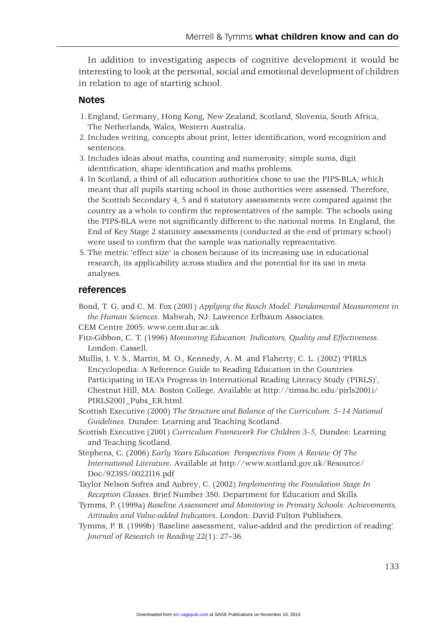In addition to investigating aspects of cognitive development it would be interesting to look at the personal, social and emotional development of children in relation to age of starting school.

#### **Notes**

- 1. England, Germany, Hong Kong, New Zealand, Scotland, Slovenia, South Africa, The Netherlands, Wales, Western Australia.
- 2. Includes writing, concepts about print, letter identification, word recognition and sentences. 3. Includes ideas about maths, counting and numerosity, simple sums, digit
- identification, shape identification and maths problems.
- 4. In Scotland, a third of all education authorities chose to use the PIPS-BLA, which meant that all pupils starting school in those authorities were assessed. Therefore, the Scottish Secondary 4, 5 and 6 statutory assessments were compared against the country as a whole to confirm the representatives of the sample. The schools using the PIPS-BLA were not significantly different to the national norms. In England, the End of Key Stage 2 statutory assessments (conducted at the end of primary school) were used to confirm that the sample was nationally representative.
- 5. The metric 'effect size' is chosen because of its increasing use in educational research, its applicability across studies and the potential for its use in meta analyses.

#### **references**

- Bond, T. G. and C. M. Fox (2001) *Applying the Rasch Model: Fundamental Measurement in the Human Sciences*. Mahwah, NJ: Lawrence Erlbaum Associates.
- CEM Centre 2005: www.cem.dur.ac.uk
- Fitz-Gibbon, C. T. (1996) *Monitoring Education: Indicators, Quality and Effectiveness*. London: Cassell.
- Mullis, I. V. S., Martin, M. O., Kennedy, A. M. and Flaherty, C. L. (2002) 'PIRLS Encyclopedia: A Reference Guide to Reading Education in the Countries Participating in IEA's Progress in International Reading Literacy Study (PIRLS)', Chestnut Hill, MA: Boston College. Available at http://timss.bc.edu/pirls2001i/ PIRLS2001\_Pubs\_ER.html.
- Scottish Executive (2000) *The Structure and Balance of the Curriculum: 5–14 National Guidelines*. Dundee: Learning and Teaching Scotland.
- Scottish Executive (2001) *Curriculum Framework For Children 3–5*, Dundee: Learning and Teaching Scotland.
- Stephens, C. (2006) *Early Years Education: Perspectives From A Review Of The International Literature*. Available at http://www.scotland.gov.uk/Resource/ Doc/92395/0022116.pdf
- Taylor Nelson Sofres and Aubrey, C. (2002) *Implementing the Foundation Stage In Reception Classes*. Brief Number 350. Department for Education and Skills.
- Tymms, P. (1999a) *Baseline Assessment and Monitoring in Primary Schools: Achievements, Attitudes and Value-added Indicators*. London: David Fulton Publishers.
- Tymms, P. B. (1999b) 'Baseline assessment, value-added and the prediction of reading'. *Journal of Research in Reading* 22(1): 27–36.